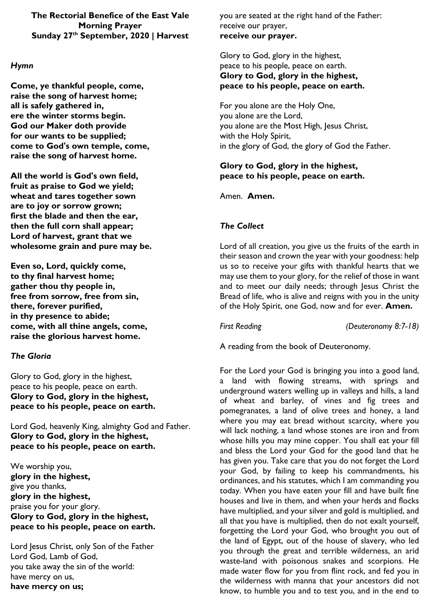**The Rectorial Benefice of the East Vale Morning Prayer Sunday 27th September, 2020 | Harvest**

### *Hymn*

**Come, ye thankful people, come, raise the song of harvest home; all is safely gathered in, ere the winter storms begin. God our Maker doth provide for our wants to be supplied; come to God's own temple, come, raise the song of harvest home.** 

**All the world is God's own field, fruit as praise to God we yield; wheat and tares together sown are to joy or sorrow grown; first the blade and then the ear, then the full corn shall appear; Lord of harvest, grant that we wholesome grain and pure may be.** 

**Even so, Lord, quickly come, to thy final harvest home; gather thou thy people in, free from sorrow, free from sin, there, forever purified, in thy presence to abide; come, with all thine angels, come, raise the glorious harvest home.**

## *The Gloria*

Glory to God, glory in the highest, peace to his people, peace on earth. **Glory to God, glory in the highest, peace to his people, peace on earth.**

Lord God, heavenly King, almighty God and Father. **Glory to God, glory in the highest, peace to his people, peace on earth.**

We worship you, **glory in the highest,** give you thanks, **glory in the highest,** praise you for your glory. **Glory to God, glory in the highest, peace to his people, peace on earth.**

Lord Jesus Christ, only Son of the Father Lord God, Lamb of God, you take away the sin of the world: have mercy on us, **have mercy on us;**

you are seated at the right hand of the Father: receive our prayer, **receive our prayer.**

Glory to God, glory in the highest, peace to his people, peace on earth. **Glory to God, glory in the highest, peace to his people, peace on earth.**

For you alone are the Holy One, you alone are the Lord, you alone are the Most High, Jesus Christ, with the Holy Spirit, in the glory of God, the glory of God the Father.

## **Glory to God, glory in the highest, peace to his people, peace on earth.**

Amen. **Amen.**

# *The Collect*

Lord of all creation, you give us the fruits of the earth in their season and crown the year with your goodness: help us so to receive your gifts with thankful hearts that we may use them to your glory, for the relief of those in want and to meet our daily needs; through Jesus Christ the Bread of life, who is alive and reigns with you in the unity of the Holy Spirit, one God, now and for ever. **Amen.**

*First Reading (Deuteronomy 8:7-18)*

A reading from the book of Deuteronomy.

For the Lord your God is bringing you into a good land, a land with flowing streams, with springs and underground waters welling up in valleys and hills, a land of wheat and barley, of vines and fig trees and pomegranates, a land of olive trees and honey, a land where you may eat bread without scarcity, where you will lack nothing, a land whose stones are iron and from whose hills you may mine copper. You shall eat your fill and bless the Lord your God for the good land that he has given you. Take care that you do not forget the Lord your God, by failing to keep his commandments, his ordinances, and his statutes, which I am commanding you today. When you have eaten your fill and have built fine houses and live in them, and when your herds and flocks have multiplied, and your silver and gold is multiplied, and all that you have is multiplied, then do not exalt yourself, forgetting the Lord your God, who brought you out of the land of Egypt, out of the house of slavery, who led you through the great and terrible wilderness, an arid waste-land with poisonous snakes and scorpions. He made water flow for you from flint rock, and fed you in the wilderness with manna that your ancestors did not know, to humble you and to test you, and in the end to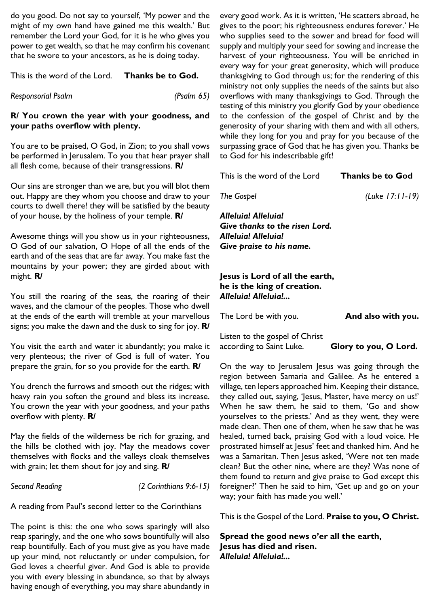do you good. Do not say to yourself, 'My power and the might of my own hand have gained me this wealth.' But remember the Lord your God, for it is he who gives you power to get wealth, so that he may confirm his covenant that he swore to your ancestors, as he is doing today.

### This is the word of the Lord. **Thanks be to God.**

*Responsorial Psalm (Psalm 65)*

## **R/ You crown the year with your goodness, and your paths overflow with plenty.**

You are to be praised, O God, in Zion; to you shall vows be performed in Jerusalem. To you that hear prayer shall all flesh come, because of their transgressions. **R/**

Our sins are stronger than we are, but you will blot them out. Happy are they whom you choose and draw to your courts to dwell there! they will be satisfied by the beauty of your house, by the holiness of your temple. **R/**

Awesome things will you show us in your righteousness, O God of our salvation, O Hope of all the ends of the earth and of the seas that are far away. You make fast the mountains by your power; they are girded about with might. **R/**

You still the roaring of the seas, the roaring of their waves, and the clamour of the peoples. Those who dwell at the ends of the earth will tremble at your marvellous signs; you make the dawn and the dusk to sing for joy. **R/**

You visit the earth and water it abundantly; you make it very plenteous; the river of God is full of water. You prepare the grain, for so you provide for the earth. **R/**

You drench the furrows and smooth out the ridges; with heavy rain you soften the ground and bless its increase. You crown the year with your goodness, and your paths overflow with plenty. **R/**

May the fields of the wilderness be rich for grazing, and the hills be clothed with joy. May the meadows cover themselves with flocks and the valleys cloak themselves with grain; let them shout for joy and sing. **R/**

*Second Reading (2 Corinthians 9:6-15)*

A reading from Paul's second letter to the Corinthians

The point is this: the one who sows sparingly will also reap sparingly, and the one who sows bountifully will also reap bountifully. Each of you must give as you have made up your mind, not reluctantly or under compulsion, for God loves a cheerful giver. And God is able to provide you with every blessing in abundance, so that by always having enough of everything, you may share abundantly in

every good work. As it is written, 'He scatters abroad, he gives to the poor; his righteousness endures forever.' He who supplies seed to the sower and bread for food will supply and multiply your seed for sowing and increase the harvest of your righteousness. You will be enriched in every way for your great generosity, which will produce thanksgiving to God through us; for the rendering of this ministry not only supplies the needs of the saints but also overflows with many thanksgivings to God. Through the testing of this ministry you glorify God by your obedience to the confession of the gospel of Christ and by the generosity of your sharing with them and with all others, while they long for you and pray for you because of the surpassing grace of God that he has given you. Thanks be to God for his indescribable gift!

This is the word of the Lord **Thanks be to God**

*The Gospel (Luke 17:11-19)*

*Alleluia! Alleluia! Give thanks to the risen Lord. Alleluia! Alleluia! Give praise to his name.*

## **Jesus is Lord of all the earth, he is the king of creation.**  *Alleluia! Alleluia!...*

The Lord be with you. **And also with you.** Listen to the gospel of Christ

according to Saint Luke. **Glory to you, O Lord.**

On the way to Jerusalem Jesus was going through the region between Samaria and Galilee. As he entered a village, ten lepers approached him. Keeping their distance, they called out, saying, 'Jesus, Master, have mercy on us!' When he saw them, he said to them, 'Go and show yourselves to the priests.' And as they went, they were made clean. Then one of them, when he saw that he was healed, turned back, praising God with a loud voice. He prostrated himself at Jesus' feet and thanked him. And he was a Samaritan. Then Jesus asked, 'Were not ten made clean? But the other nine, where are they? Was none of them found to return and give praise to God except this foreigner?' Then he said to him, 'Get up and go on your way; your faith has made you well.'

This is the Gospel of the Lord. **Praise to you, O Christ.**

**Spread the good news o'er all the earth, Jesus has died and risen.**  *Alleluia! Alleluia!...*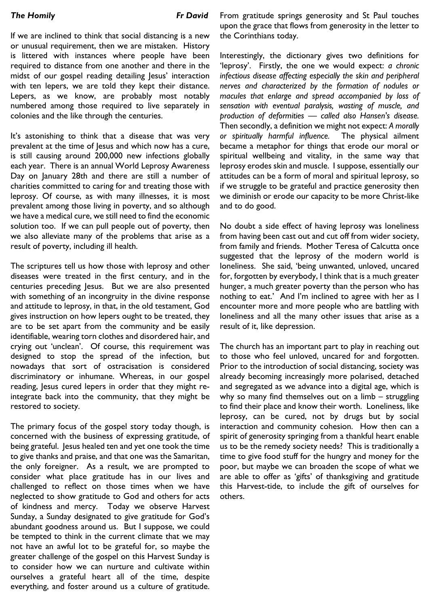If we are inclined to think that social distancing is a new or unusual requirement, then we are mistaken. History is littered with instances where people have been required to distance from one another and there in the midst of our gospel reading detailing lesus' interaction with ten lepers, we are told they kept their distance. Lepers, as we know, are probably most notably numbered among those required to live separately in colonies and the like through the centuries.

It's astonishing to think that a disease that was very prevalent at the time of Jesus and which now has a cure, is still causing around 200,000 new infections globally each year. There is an annual World Leprosy Awareness Day on January 28th and there are still a number of charities committed to caring for and treating those with leprosy. Of course, as with many illnesses, it is most prevalent among those living in poverty, and so although we have a medical cure, we still need to find the economic solution too. If we can pull people out of poverty, then we also alleviate many of the problems that arise as a result of poverty, including ill health.

The scriptures tell us how those with leprosy and other diseases were treated in the first century, and in the centuries preceding Jesus. But we are also presented with something of an incongruity in the divine response and attitude to leprosy, in that, in the old testament, God gives instruction on how lepers ought to be treated, they are to be set apart from the community and be easily identifiable, wearing torn clothes and disordered hair, and crying out 'unclean'. Of course, this requirement was designed to stop the spread of the infection, but nowadays that sort of ostracisation is considered discriminatory or inhumane. Whereas, in our gospel reading, Jesus cured lepers in order that they might reintegrate back into the community, that they might be restored to society.

The primary focus of the gospel story today though, is concerned with the business of expressing gratitude, of being grateful. Jesus healed ten and yet one took the time to give thanks and praise, and that one was the Samaritan, the only foreigner. As a result, we are prompted to consider what place gratitude has in our lives and challenged to reflect on those times when we have neglected to show gratitude to God and others for acts of kindness and mercy. Today we observe Harvest Sunday, a Sunday designated to give gratitude for God's abundant goodness around us. But I suppose, we could be tempted to think in the current climate that we may not have an awful lot to be grateful for, so maybe the greater challenge of the gospel on this Harvest Sunday is to consider how we can nurture and cultivate within ourselves a grateful heart all of the time, despite everything, and foster around us a culture of gratitude. From gratitude springs generosity and St Paul touches upon the grace that flows from generosity in the letter to the Corinthians today.

Interestingly, the dictionary gives two definitions for 'leprosy'. Firstly, the one we would expect: *a chronic infectious disease affecting especially the skin and peripheral nerves and characterized by the formation of nodules or macules that enlarge and spread accompanied by loss of sensation with eventual paralysis, wasting of muscle, and production of deformities — called also Hansen's disease.* Then secondly, a definition we might not expect: *A morally or spiritually harmful influence.* The physical ailment became a metaphor for things that erode our moral or spiritual wellbeing and vitality, in the same way that leprosy erodes skin and muscle. I suppose, essentially our attitudes can be a form of moral and spiritual leprosy, so if we struggle to be grateful and practice generosity then we diminish or erode our capacity to be more Christ-like and to do good.

No doubt a side effect of having leprosy was loneliness from having been cast out and cut off from wider society, from family and friends. Mother Teresa of Calcutta once suggested that the leprosy of the modern world is loneliness. She said, 'being unwanted, unloved, uncared for, forgotten by everybody, I think that is a much greater hunger, a much greater poverty than the person who has nothing to eat.' And I'm inclined to agree with her as I encounter more and more people who are battling with loneliness and all the many other issues that arise as a result of it, like depression.

The church has an important part to play in reaching out to those who feel unloved, uncared for and forgotten. Prior to the introduction of social distancing, society was already becoming increasingly more polarised, detached and segregated as we advance into a digital age, which is why so many find themselves out on a limb – struggling to find their place and know their worth. Loneliness, like leprosy, can be cured, not by drugs but by social interaction and community cohesion. How then can a spirit of generosity springing from a thankful heart enable us to be the remedy society needs? This is traditionally a time to give food stuff for the hungry and money for the poor, but maybe we can broaden the scope of what we are able to offer as 'gifts' of thanksgiving and gratitude this Harvest-tide, to include the gift of ourselves for others.